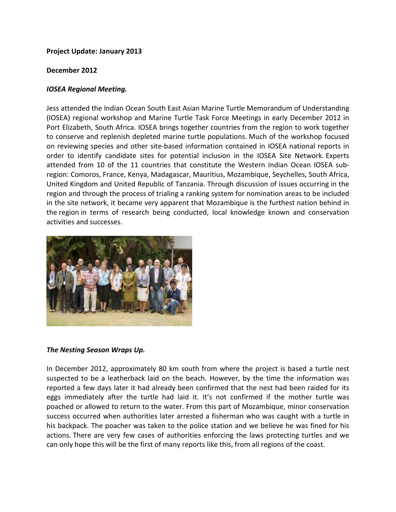# **Project Update: January 2013**

### **December 2012**

# *IOSEA Regional Meeting.*

Jess attended the Indian Ocean South East Asian Marine Turtle Memorandum of Understanding (IOSEA) regional workshop and Marine Turtle Task Force Meetings in early December 2012 in Port Elizabeth, South Africa. IOSEA brings together countries from the region to work together to conserve and replenish depleted marine turtle populations. Much of the workshop focused on reviewing species and other site-based information contained in IOSEA national reports in order to identify candidate sites for potential inclusion in the IOSEA Site Network. Experts attended from 10 of the 11 countries that constitute the Western Indian Ocean IOSEA subregion: Comoros, France, Kenya, Madagascar, Mauritius, Mozambique, Seychelles, South Africa, United Kingdom and United Republic of Tanzania. Through discussion of issues occurring in the region and through the process of trialing a ranking system for nomination areas to be included in the site network, it became very apparent that Mozambique is the furthest nation behind in the region in terms of research being conducted, local knowledge known and conservation activities and successes.



#### *The Nesting Season Wraps Up.*

In December 2012, approximately 80 km south from where the project is based a turtle nest suspected to be a leatherback laid on the beach. However, by the time the information was reported a few days later it had already been confirmed that the nest had been raided for its eggs immediately after the turtle had laid it. It's not confirmed if the mother turtle was poached or allowed to return to the water. From this part of Mozambique, minor conservation success occurred when authorities later arrested a fisherman who was caught with a turtle in his backpack. The poacher was taken to the police station and we believe he was fined for his actions. There are very few cases of authorities enforcing the laws protecting turtles and we can only hope this will be the first of many reports like this, from all regions of the coast.